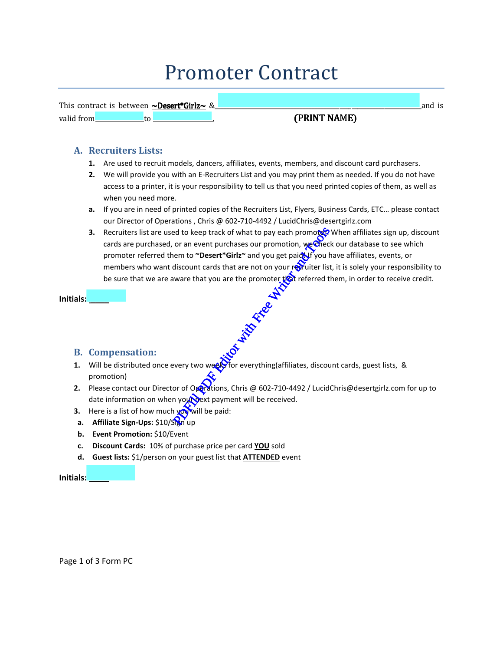# Promoter Contract

|       | This contract is between $\sim$ Desert*Girlz $\sim$ | v |                |  |
|-------|-----------------------------------------------------|---|----------------|--|
| valio | w                                                   |   | INIT NI AN ATN |  |

# (PRINT NAME)

## **A. Recruiters Lists:**

- **1.** Are used to recruit models, dancers, affiliates, events, members, and discount card purchasers.
- **2.** We will provide you with an E-Recruiters List and you may print them as needed. If you do not have access to a printer, it is your responsibility to tell us that you need printed copies of them, as well as when you need more.
- **a.** If you are in need of printed copies of the Recruiters List, Flyers, Business Cards, ETC… please contact our Director of Operations , Chris @ 602-710-4492 / LucidChris@desertgirlz.com
- **3.** Recruiters list are used to keep track of what to pay each promoter? When affiliates sign up, discount cards are purchased, or an event purchases our promotion, we check our database to see which promoter referred them to **~Desert\*Girlz~** and you get paid Jf you have affiliates, events, or members who want discount cards that are not on your recruiter list, it is solely your responsibility to be sure that we are aware that you are the promoter  $\sqrt{2}$  referred them, in order to receive credit. ed to keep track of what to pay each promotoge<br>or an event purchases our promotion, we chece<br>them to "Desert\*Girlz" and you get paid of you I<br>discount cards that are not on your requiter list<br>ware that you are the promoter

| Initials: |  |
|-----------|--|
|           |  |

# **B. Compensation:**

- **1.** Will be distributed once every two week for everything(affiliates, discount cards, guest lists, & promotion)
- **2.** Please contact our Director of Operations, Chris @ 602-710-4492 / LucidChris@desertgirlz.com for up to date information on when your payment will be received.
- **3.** Here is a list of how much **you** will be paid:
- **a. Affiliate Sign-Ups:** \$10/Sign up
- **b. Event Promotion:** \$10/Event
- **c. Discount Cards:** 10% of purchase price per card **YOU** sold
- **d. Guest lists:** \$1/person on your guest list that **ATTENDED** event

**Initials: \_\_\_\_**

Page 1 of 3 Form PC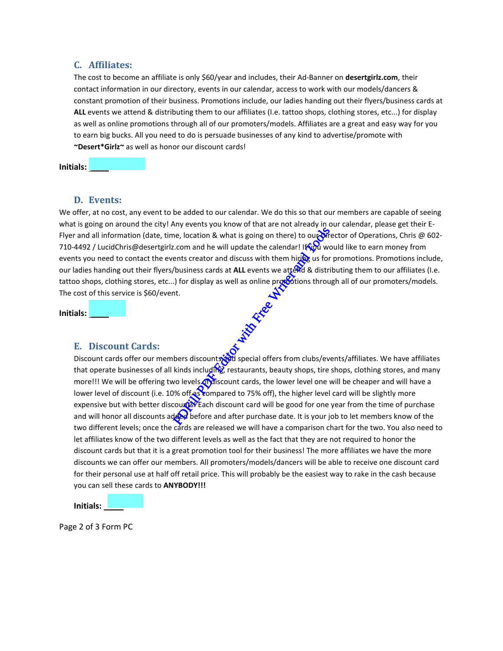#### **C. Affiliates:**

The cost to become an affiliate is only \$60/year and includes, their Ad-Banner on **desertgirlz.com**, their contact information in our directory, events in our calendar, access to work with our models/dancers & constant promotion of their business. Promotions include, our ladies handing out their flyers/business cards at **ALL** events we attend & distributing them to our affiliates (I.e. tattoo shops, clothing stores, etc...) for display as well as online promotions through all of our promoters/models. Affiliates are a great and easy way for you to earn big bucks. All you need to do is persuade businesses of any kind to advertise/promote with **~Desert\*Girlz~** as well as honor our discount cards!

**Initials: \_\_\_\_**

#### **D. Events:**

We offer, at no cost, any event to be added to our calendar. We do this so that our members are capable of seeing what is going on around the city! Any events you know of that are not already in our calendar, please get their E-Flyer and all information (date, time, location & what is going on there) to our Director of Operations, Chris @ 602-710-4492 / LucidChris@desertgirlz.com and he will update the calendar! It wall would like to earn money from events you need to contact the events creator and discuss with them hiring us for promotions. Promotions include, our ladies handing out their flyers/business cards at ALL events we attend & distributing them to our affiliates (I.e. tattoo shops, clothing stores, etc...) for display as well as online provotions through all of our promoters/models. The cost of this service is \$60/event.

**Initials: \_\_\_\_**

#### **E. Discount Cards:**

Discount cards offer our members discounts and special offers from clubs/events/affiliates. We have affiliates that operate businesses of all kinds including, restaurants, beauty shops, tire shops, clothing stores, and many more!!! We will be offering two levels of discount cards, the lower level one will be cheaper and will have a lower level of discount (i.e. 10% off as compared to 75% off), the higher level card will be slightly more expensive but with better discoures? Each discount card will be good for one year from the time of purchase and will honor all discounts added before and after purchase date. It is your job to let members know of the two different levels; once the cards are released we will have a comparison chart for the two. You also need to let affiliates know of the two different levels as well as the fact that they are not required to honor the discount cards but that it is a great promotion tool for their business! The more affiliates we have the more discounts we can offer our members. All promoters/models/dancers will be able to receive one discount card for their personal use at half off retail price. This will probably be the easiest way to rake in the cash because you can sell these cards to **ANYBODY!!!** The process of the same of the same of the same of the set of the set of the set of the set of the set of the set of the set of the set of the set of the set of the set of the set of the set of the set of the set of the se

**Initials: \_\_\_\_**

Page 2 of 3 Form PC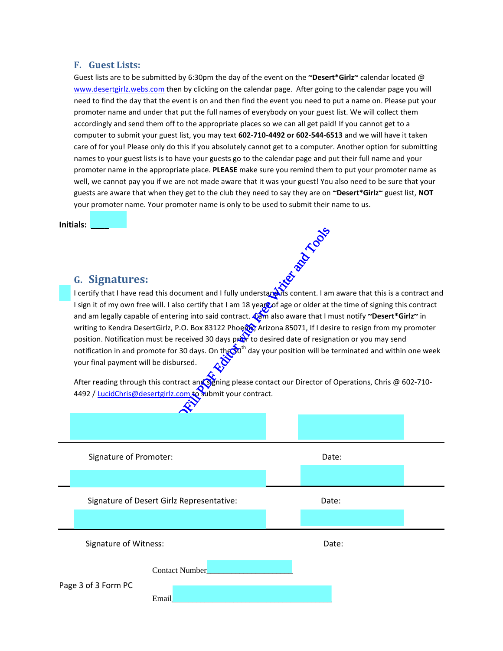#### **F. Guest Lists:**

Guest lists are to be submitted by 6:30pm the day of the event on the **~Desert\*Girlz~** calendar located @ www.desertgirlz.webs.com then by clicking on the calendar page. After going to the calendar page you will need to find the day that the event is on and then find the event you need to put a name on. Please put your promoter name and under that put the full names of everybody on your guest list. We will collect them accordingly and send them off to the appropriate places so we can all get paid! If you cannot get to a computer to submit your guest list, you may text **602-710-4492 or 602-544-6513** and we will have it taken care of for you! Please only do this if you absolutely cannot get to a computer. Another option for submitting names to your guest lists is to have your guests go to the calendar page and put their full name and your promoter name in the appropriate place. **PLEASE** make sure you remind them to put your promoter name as well, we cannot pay you if we are not made aware that it was your guest! You also need to be sure that your guests are aware that when they get to the club they need to say they are on **~Desert\*Girlz~** guest list, **NOT** your promoter name. Your promoter name is only to be used to submit their name to us.

**Initials: \_\_\_\_**

### **G. Signatures:**

I certify that I have read this document and I fully understand its content. I am aware that this is a contract and I sign it of my own free will. I also certify that I am 18 years of age or older at the time of signing this contract and am legally capable of entering into said contract. **Cam** also aware that I must notify ~Desert\*Girlz~ in writing to Kendra DesertGirlz, P.O. Box 83122 Phoene X, Arizona 85071, If I desire to resign from my promoter position. Notification must be received 30 days pror to desired date of resignation or you may send notification in and promote for 30 days. On the 30<sup>th</sup> day your position will be terminated and within one week your final payment will be disbursed. Policianum and I fully understanding is content. I and the certify that I am 18 years of age or older at ering into said contract. Warm also aware that I r<br>P.O. Box 83122 Phoed & Arizona 85071, If I despressive and the rec

After reading through this contract and signing please contact our Director of Operations, Chris @ 602-710-4492 / LucidChris@desertgirlz.com to submit your contract.

| Signature of Promoter:                         | Date: |  |
|------------------------------------------------|-------|--|
|                                                |       |  |
| Signature of Desert Girlz Representative:      | Date: |  |
|                                                |       |  |
| Signature of Witness:                          | Date: |  |
| Contact Number<br>Page 3 of 3 Form PC<br>Email |       |  |